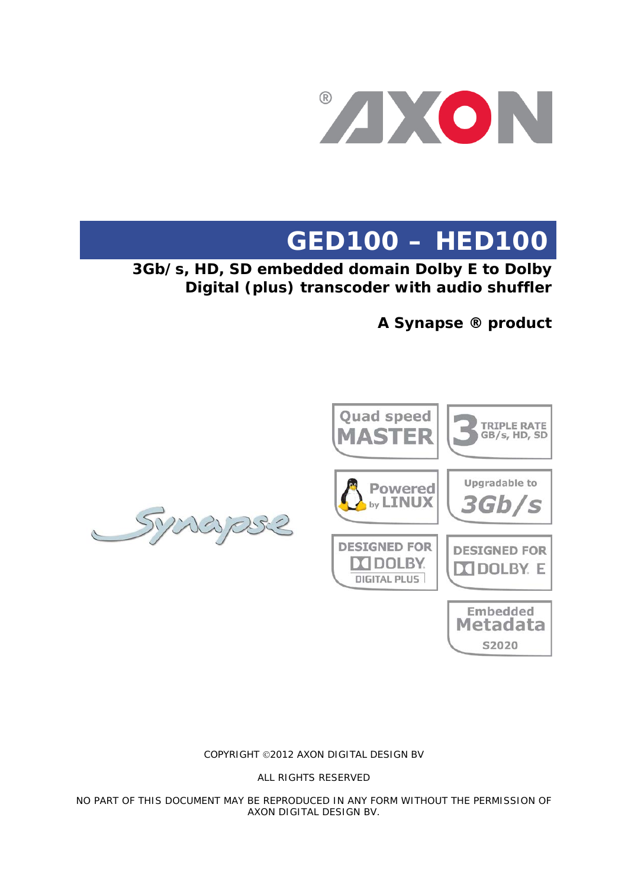

# **GED100 – HED100**

**3Gb/s, HD, SD embedded domain Dolby E to Dolby Digital (plus) transcoder with audio shuffler**

**A Synapse ® product**



#### COPYRIGHT ©2012 AXON DIGITAL DESIGN BV

ALL RIGHTS RESERVED

NO PART OF THIS DOCUMENT MAY BE REPRODUCED IN ANY FORM WITHOUT THE PERMISSION OF AXON DIGITAL DESIGN BV.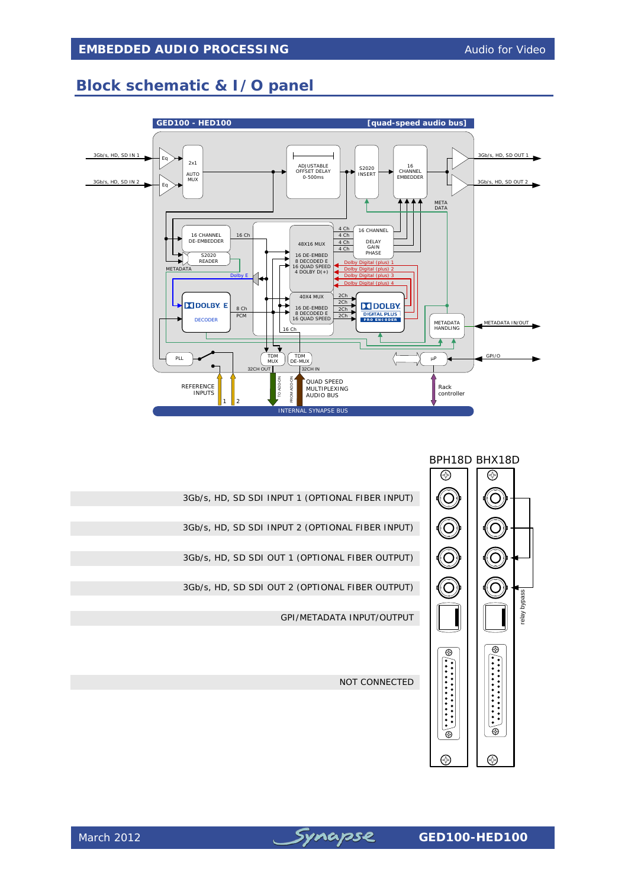## **Block schematic & I/O panel**





- 3Gb/s, HD, SD SDI INPUT 1 (OPTIONAL FIBER INPUT)
- 3Gb/s, HD, SD SDI INPUT 2 (OPTIONAL FIBER INPUT)
- 3Gb/s, HD, SD SDI OUT 1 (OPTIONAL FIBER OUTPUT)
- 3Gb/s, HD, SD SDI OUT 2 (OPTIONAL FIBER OUTPUT)
	- GPI/METADATA INPUT/OUTPUT

NOT CONNECTED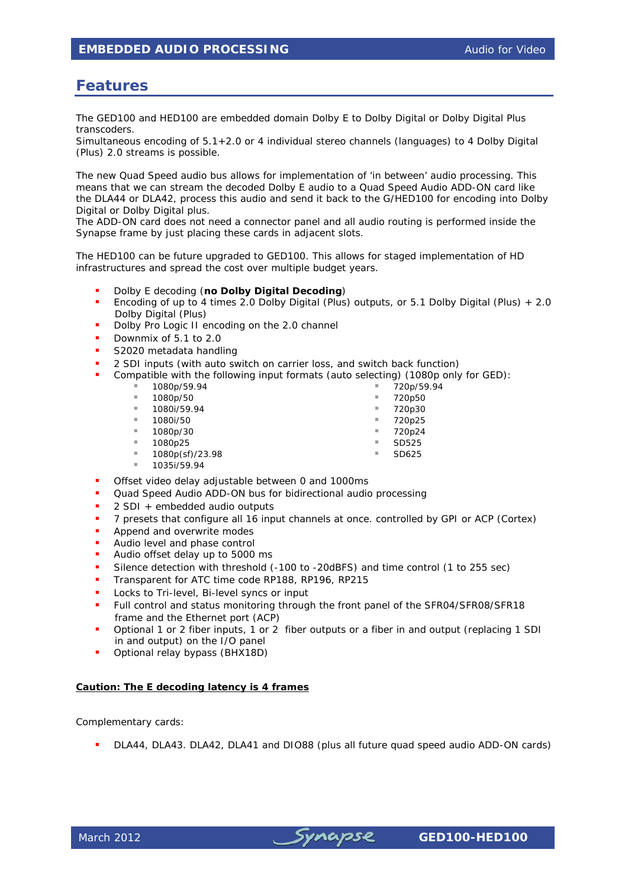### **Features**

The GED100 and HED100 are embedded domain Dolby E to Dolby Digital or Dolby Digital Plus transcoders.

Simultaneous encoding of 5.1+2.0 or 4 individual stereo channels (languages) to 4 Dolby Digital (Plus) 2.0 streams is possible.

The new Quad Speed audio bus allows for implementation of 'in between' audio processing. This means that we can stream the decoded Dolby E audio to a Quad Speed Audio ADD-ON card like the DLA44 or DLA42, process this audio and send it back to the G/HED100 for encoding into Dolby Digital or Dolby Digital plus.

The ADD-ON card does not need a connector panel and all audio routing is performed inside the Synapse frame by just placing these cards in adjacent slots.

The HED100 can be future upgraded to GED100. This allows for staged implementation of HD infrastructures and spread the cost over multiple budget years.

- Dolby E decoding (*no Dolby Digital Decoding*)
- Encoding of up to 4 times 2.0 Dolby Digital (Plus) outputs, or 5.1 Dolby Digital (Plus) + 2.0 Dolby Digital (Plus)
- Dolby Pro Logic II encoding on the 2.0 channel
- Downmix of 5.1 to 2.0
- S2020 metadata handling
- 2 SDI inputs (with auto switch on carrier loss, and switch back function)
- Compatible with the following input formats (auto selecting) (1080p only for GED):

| <b>The Contract of the Contract of the Contract of the Contract of the Contract of the Contract of the Contract of the Contract of the Contract of the Contract of the Contract of the Contract of The Contract of The Contract </b> | 1080p/59.94     | ٠ | 720p/59.94 |
|--------------------------------------------------------------------------------------------------------------------------------------------------------------------------------------------------------------------------------------|-----------------|---|------------|
| <b>The Contract of the Contract of the Contract of the Contract of the Contract of the Contract of the Contract of the Contract of the Contract of the Contract of the Contract of the Contract of The Contract of The Contract </b> | 1080p/50        | ٠ | 720p50     |
| <b>III</b>                                                                                                                                                                                                                           | 1080i/59.94     | ٠ | 720p30     |
| <b>The Contract of the Contract of the Contract of the Contract of the Contract of the Contract of the Contract of the Contract of the Contract of the Contract of the Contract of the Contract of The Contract of The Contract </b> | 1080i/50        | ш | 720p25     |
| <b>The Contract of the Contract of the Contract of the Contract of the Contract of the Contract of the Contract of the Contract of the Contract of the Contract of the Contract of the Contract of The Contract of The Contract </b> | 1080p/30        | ٠ | 720p24     |
| <b>III</b>                                                                                                                                                                                                                           | 1080p25         | ٠ | SD525      |
| <b>The Contract of the Contract of the Contract of the Contract of the Contract of the Contract of the Contract of the Contract of the Contract of the Contract of the Contract of the Contract of The Contract of The Contract </b> | 1080p(sf)/23.98 | ш | SD625      |
|                                                                                                                                                                                                                                      | 1035i/59 94     |   |            |

- **Offset video delay adjustable between 0 and 1000ms**
- Quad Speed Audio ADD-ON bus for bidirectional audio processing
- $\blacksquare$  2 SDI + embedded audio outputs
- 7 presets that configure all 16 input channels at once. controlled by GPI or ACP (Cortex)
- Append and overwrite modes
- Audio level and phase control
- Audio offset delay up to 5000 ms
- Silence detection with threshold (-100 to -20dBFS) and time control (1 to 255 sec)
- Transparent for ATC time code RP188, RP196, RP215
- Locks to Tri-level, Bi-level syncs or input
- Full control and status monitoring through the front panel of the SFR04/SFR08/SFR18 frame and the Ethernet port (ACP)
- Optional 1 or 2 fiber inputs, 1 or 2 fiber outputs or a fiber in and output (replacing 1 SDI in and output) on the I/O panel
- Optional relay bypass (BHX18D)

#### *Caution: The E decoding latency is 4 frames*

Complementary cards:

DLA44, DLA43. DLA42, DLA41 and DIO88 (plus all future quad speed audio ADD-ON cards)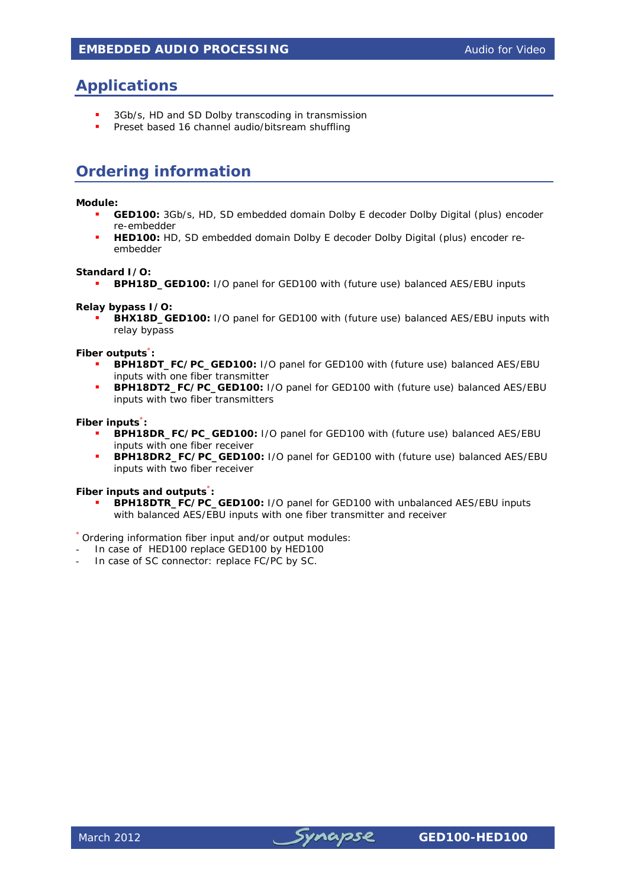## **Applications**

- 3Gb/s, HD and SD Dolby transcoding in transmission
- **Preset based 16 channel audio/bitsream shuffling**

## **Ordering information**

#### **Module:**

- **GED100:** 3Gb/s, HD, SD embedded domain Dolby E decoder Dolby Digital (plus) encoder re-embedder
- **HED100:** HD, SD embedded domain Dolby E decoder Dolby Digital (plus) encoder reembedder

#### **Standard I/O:**

**BPH18D\_GED100:** I/O panel for GED100 with (future use) balanced AES/EBU inputs

#### **Relay bypass I/O:**

 **BHX18D\_GED100:** I/O panel for GED100 with (future use) balanced AES/EBU inputs with relay bypass

#### **Fiber outputs**\* **:**

- **BPH18DT\_FC/PC\_GED100:** I/O panel for GED100 with (future use) balanced AES/EBU inputs with one fiber transmitter
- **BPH18DT2\_FC/PC\_GED100:** I/O panel for GED100 with (future use) balanced AES/EBU inputs with two fiber transmitters

#### **Fiber inputs**\* **:**

- **BPH18DR\_FC/PC\_GED100:** I/O panel for GED100 with (future use) balanced AES/EBU inputs with one fiber receiver
- **BPH18DR2\_FC/PC\_GED100:** I/O panel for GED100 with (future use) balanced AES/EBU inputs with two fiber receiver

#### **Fiber inputs and outputs**\* **:**

 **BPH18DTR\_FC/PC\_GED100:** I/O panel for GED100 with unbalanced AES/EBU inputs with balanced AES/EBU inputs with one fiber transmitter and receiver

#### \* Ordering information fiber input and/or output modules:

- In case of HED100 replace GED100 by HED100
- In case of SC connector: replace FC/PC by SC.